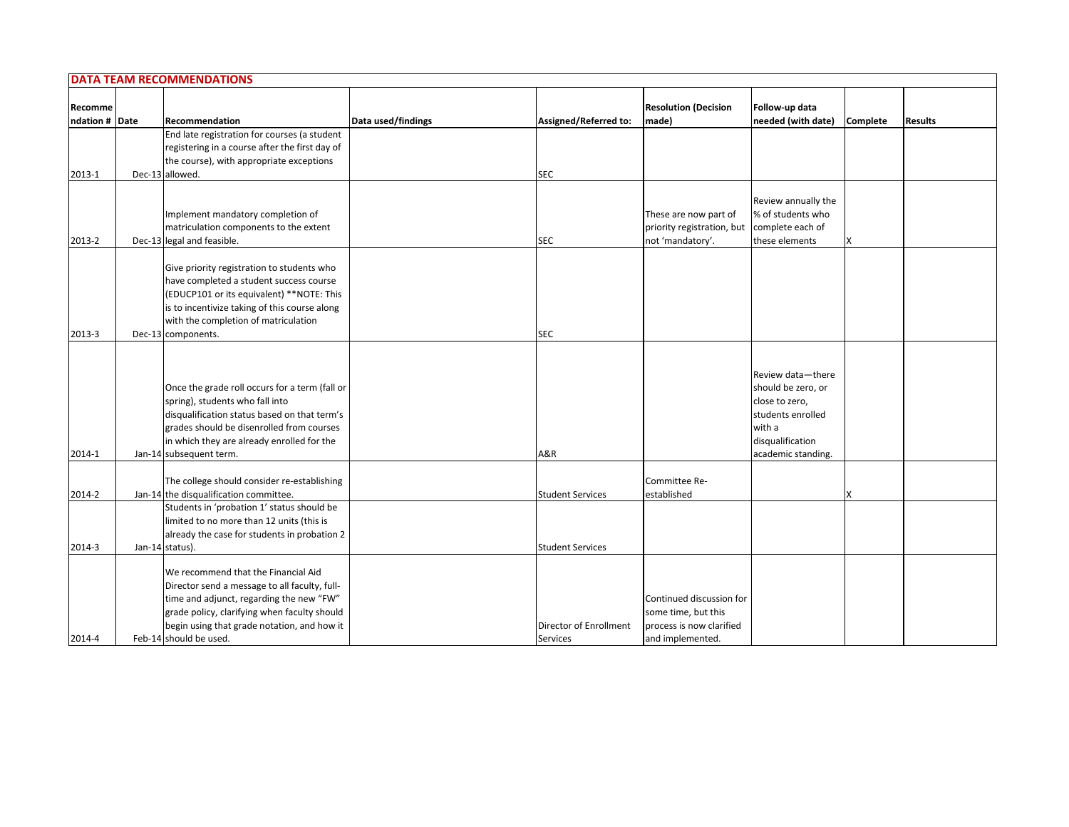|                           | <b>DATA TEAM RECOMMENDATIONS</b>                                                                                                                                                                                                                        |                    |                         |                                      |                                                                                                                                    |          |                |
|---------------------------|---------------------------------------------------------------------------------------------------------------------------------------------------------------------------------------------------------------------------------------------------------|--------------------|-------------------------|--------------------------------------|------------------------------------------------------------------------------------------------------------------------------------|----------|----------------|
| Recomme<br>ndation # Date | Recommendation                                                                                                                                                                                                                                          | Data used/findings | Assigned/Referred to:   | <b>Resolution (Decision</b><br>made) | Follow-up data<br>needed (with date)                                                                                               | Complete | <b>Results</b> |
|                           | End late registration for courses (a student                                                                                                                                                                                                            |                    |                         |                                      |                                                                                                                                    |          |                |
|                           | registering in a course after the first day of                                                                                                                                                                                                          |                    |                         |                                      |                                                                                                                                    |          |                |
|                           | the course), with appropriate exceptions                                                                                                                                                                                                                |                    |                         |                                      |                                                                                                                                    |          |                |
| 2013-1                    | Dec-13 allowed.                                                                                                                                                                                                                                         |                    | <b>SEC</b>              |                                      |                                                                                                                                    |          |                |
|                           |                                                                                                                                                                                                                                                         |                    |                         |                                      |                                                                                                                                    |          |                |
|                           |                                                                                                                                                                                                                                                         |                    |                         |                                      | Review annually the                                                                                                                |          |                |
|                           | Implement mandatory completion of                                                                                                                                                                                                                       |                    |                         | These are now part of                | % of students who                                                                                                                  |          |                |
|                           | matriculation components to the extent                                                                                                                                                                                                                  |                    |                         | priority registration, but           | complete each of                                                                                                                   |          |                |
| 2013-2                    | Dec-13 legal and feasible.                                                                                                                                                                                                                              |                    | <b>SEC</b>              | not 'mandatory'.                     | these elements                                                                                                                     | X        |                |
|                           |                                                                                                                                                                                                                                                         |                    |                         |                                      |                                                                                                                                    |          |                |
|                           | Give priority registration to students who                                                                                                                                                                                                              |                    |                         |                                      |                                                                                                                                    |          |                |
|                           | have completed a student success course                                                                                                                                                                                                                 |                    |                         |                                      |                                                                                                                                    |          |                |
|                           | (EDUCP101 or its equivalent) **NOTE: This                                                                                                                                                                                                               |                    |                         |                                      |                                                                                                                                    |          |                |
|                           | is to incentivize taking of this course along<br>with the completion of matriculation                                                                                                                                                                   |                    |                         |                                      |                                                                                                                                    |          |                |
|                           |                                                                                                                                                                                                                                                         |                    |                         |                                      |                                                                                                                                    |          |                |
| 2013-3                    | Dec-13 components.                                                                                                                                                                                                                                      |                    | <b>SEC</b>              |                                      |                                                                                                                                    |          |                |
| 2014-1                    | Once the grade roll occurs for a term (fall or<br>spring), students who fall into<br>disqualification status based on that term's<br>grades should be disenrolled from courses<br>in which they are already enrolled for the<br>Jan-14 subsequent term. |                    | A&R                     |                                      | Review data-there<br>should be zero, or<br>close to zero,<br>students enrolled<br>with a<br>disqualification<br>academic standing. |          |                |
|                           | The college should consider re-establishing                                                                                                                                                                                                             |                    |                         | Committee Re-                        |                                                                                                                                    |          |                |
| 2014-2                    | Jan-14 the disqualification committee.                                                                                                                                                                                                                  |                    | <b>Student Services</b> | established                          |                                                                                                                                    | X        |                |
|                           | Students in 'probation 1' status should be                                                                                                                                                                                                              |                    |                         |                                      |                                                                                                                                    |          |                |
|                           | limited to no more than 12 units (this is                                                                                                                                                                                                               |                    |                         |                                      |                                                                                                                                    |          |                |
|                           | already the case for students in probation 2                                                                                                                                                                                                            |                    |                         |                                      |                                                                                                                                    |          |                |
| 2014-3                    | Jan-14 status).                                                                                                                                                                                                                                         |                    | <b>Student Services</b> |                                      |                                                                                                                                    |          |                |
|                           |                                                                                                                                                                                                                                                         |                    |                         |                                      |                                                                                                                                    |          |                |
|                           | We recommend that the Financial Aid                                                                                                                                                                                                                     |                    |                         |                                      |                                                                                                                                    |          |                |
|                           | Director send a message to all faculty, full-                                                                                                                                                                                                           |                    |                         |                                      |                                                                                                                                    |          |                |
|                           | time and adjunct, regarding the new "FW"                                                                                                                                                                                                                |                    |                         | Continued discussion for             |                                                                                                                                    |          |                |
|                           | grade policy, clarifying when faculty should                                                                                                                                                                                                            |                    |                         | some time, but this                  |                                                                                                                                    |          |                |
|                           | begin using that grade notation, and how it                                                                                                                                                                                                             |                    | Director of Enrollment  | process is now clarified             |                                                                                                                                    |          |                |
| 2014-4                    | Feb-14 should be used.                                                                                                                                                                                                                                  |                    | Services                | and implemented.                     |                                                                                                                                    |          |                |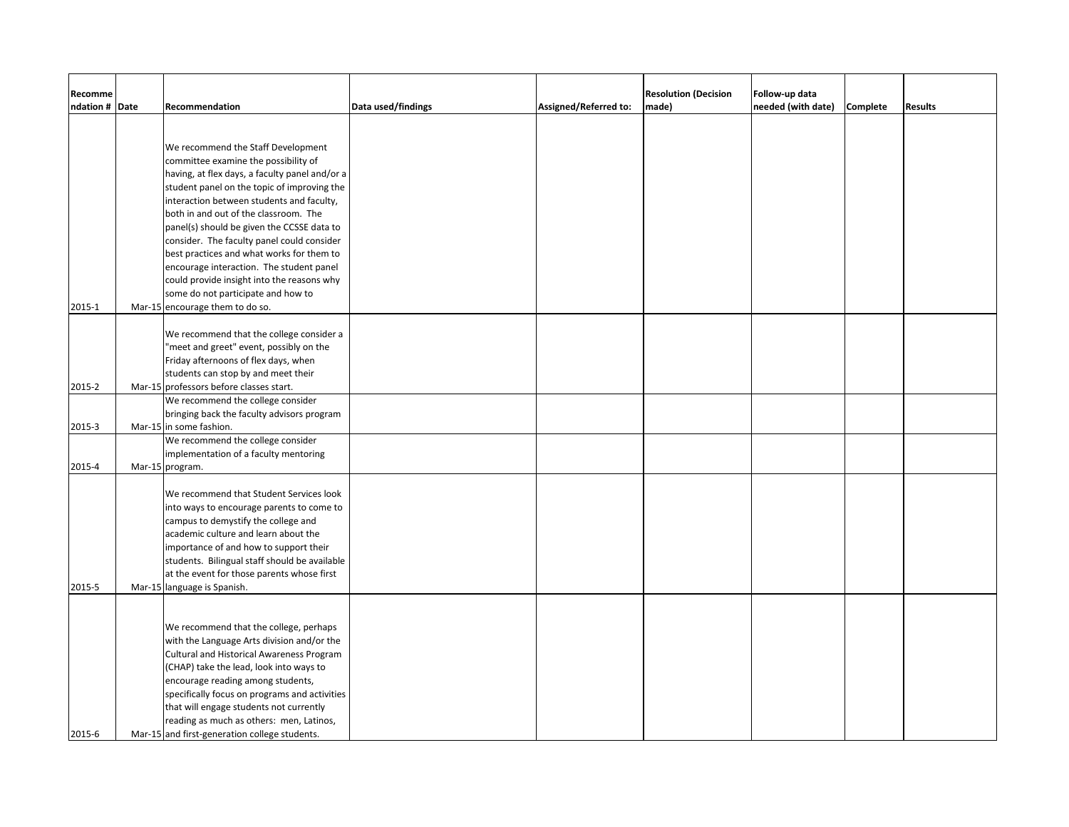| Recomme<br>ndation # Date | Recommendation                                                               | Data used/findings | Assigned/Referred to: | <b>Resolution (Decision</b><br>made) | Follow-up data<br>needed (with date) | Complete | <b>Results</b> |
|---------------------------|------------------------------------------------------------------------------|--------------------|-----------------------|--------------------------------------|--------------------------------------|----------|----------------|
|                           |                                                                              |                    |                       |                                      |                                      |          |                |
|                           |                                                                              |                    |                       |                                      |                                      |          |                |
|                           | We recommend the Staff Development                                           |                    |                       |                                      |                                      |          |                |
|                           | committee examine the possibility of                                         |                    |                       |                                      |                                      |          |                |
|                           | having, at flex days, a faculty panel and/or a                               |                    |                       |                                      |                                      |          |                |
|                           | student panel on the topic of improving the                                  |                    |                       |                                      |                                      |          |                |
|                           | interaction between students and faculty,                                    |                    |                       |                                      |                                      |          |                |
|                           | both in and out of the classroom. The                                        |                    |                       |                                      |                                      |          |                |
|                           | panel(s) should be given the CCSSE data to                                   |                    |                       |                                      |                                      |          |                |
|                           | consider. The faculty panel could consider                                   |                    |                       |                                      |                                      |          |                |
|                           | best practices and what works for them to                                    |                    |                       |                                      |                                      |          |                |
|                           | encourage interaction. The student panel                                     |                    |                       |                                      |                                      |          |                |
|                           | could provide insight into the reasons why                                   |                    |                       |                                      |                                      |          |                |
|                           | some do not participate and how to                                           |                    |                       |                                      |                                      |          |                |
| 2015-1                    | Mar-15 encourage them to do so.                                              |                    |                       |                                      |                                      |          |                |
|                           |                                                                              |                    |                       |                                      |                                      |          |                |
|                           | We recommend that the college consider a                                     |                    |                       |                                      |                                      |          |                |
|                           | "meet and greet" event, possibly on the                                      |                    |                       |                                      |                                      |          |                |
|                           | Friday afternoons of flex days, when                                         |                    |                       |                                      |                                      |          |                |
| 2015-2                    | students can stop by and meet their                                          |                    |                       |                                      |                                      |          |                |
|                           | Mar-15 professors before classes start.<br>We recommend the college consider |                    |                       |                                      |                                      |          |                |
|                           | bringing back the faculty advisors program                                   |                    |                       |                                      |                                      |          |                |
| 2015-3                    | Mar-15 in some fashion.                                                      |                    |                       |                                      |                                      |          |                |
|                           | We recommend the college consider                                            |                    |                       |                                      |                                      |          |                |
|                           | implementation of a faculty mentoring                                        |                    |                       |                                      |                                      |          |                |
| 2015-4                    | Mar-15 program.                                                              |                    |                       |                                      |                                      |          |                |
|                           |                                                                              |                    |                       |                                      |                                      |          |                |
|                           | We recommend that Student Services look                                      |                    |                       |                                      |                                      |          |                |
|                           | into ways to encourage parents to come to                                    |                    |                       |                                      |                                      |          |                |
|                           | campus to demystify the college and                                          |                    |                       |                                      |                                      |          |                |
|                           | academic culture and learn about the                                         |                    |                       |                                      |                                      |          |                |
|                           | importance of and how to support their                                       |                    |                       |                                      |                                      |          |                |
|                           | students. Bilingual staff should be available                                |                    |                       |                                      |                                      |          |                |
|                           | at the event for those parents whose first                                   |                    |                       |                                      |                                      |          |                |
| 2015-5                    | Mar-15 language is Spanish.                                                  |                    |                       |                                      |                                      |          |                |
|                           |                                                                              |                    |                       |                                      |                                      |          |                |
|                           |                                                                              |                    |                       |                                      |                                      |          |                |
|                           | We recommend that the college, perhaps                                       |                    |                       |                                      |                                      |          |                |
|                           | with the Language Arts division and/or the                                   |                    |                       |                                      |                                      |          |                |
|                           | <b>Cultural and Historical Awareness Program</b>                             |                    |                       |                                      |                                      |          |                |
|                           | (CHAP) take the lead, look into ways to                                      |                    |                       |                                      |                                      |          |                |
|                           | encourage reading among students,                                            |                    |                       |                                      |                                      |          |                |
|                           | specifically focus on programs and activities                                |                    |                       |                                      |                                      |          |                |
|                           | that will engage students not currently                                      |                    |                       |                                      |                                      |          |                |
|                           | reading as much as others: men, Latinos,                                     |                    |                       |                                      |                                      |          |                |
| 2015-6                    | Mar-15 and first-generation college students.                                |                    |                       |                                      |                                      |          |                |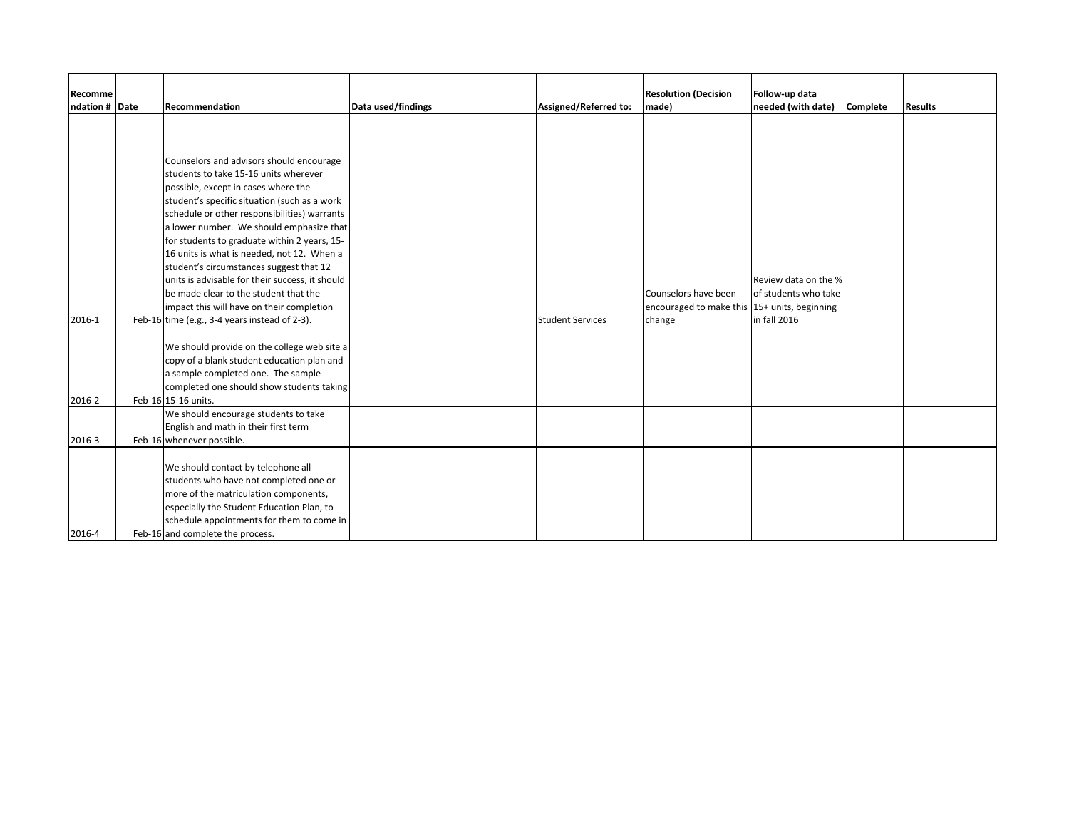| Recomme        |                                                                                          |                    |                         | <b>Resolution (Decision</b>                  | Follow-up data       |          |                |
|----------------|------------------------------------------------------------------------------------------|--------------------|-------------------------|----------------------------------------------|----------------------|----------|----------------|
| ndation # Date | Recommendation                                                                           | Data used/findings | Assigned/Referred to:   | made)                                        | needed (with date)   | Complete | <b>Results</b> |
|                |                                                                                          |                    |                         |                                              |                      |          |                |
|                |                                                                                          |                    |                         |                                              |                      |          |                |
|                |                                                                                          |                    |                         |                                              |                      |          |                |
|                | Counselors and advisors should encourage                                                 |                    |                         |                                              |                      |          |                |
|                | students to take 15-16 units wherever                                                    |                    |                         |                                              |                      |          |                |
|                | possible, except in cases where the                                                      |                    |                         |                                              |                      |          |                |
|                | student's specific situation (such as a work                                             |                    |                         |                                              |                      |          |                |
|                | schedule or other responsibilities) warrants<br>a lower number. We should emphasize that |                    |                         |                                              |                      |          |                |
|                | for students to graduate within 2 years, 15-                                             |                    |                         |                                              |                      |          |                |
|                | 16 units is what is needed, not 12. When a                                               |                    |                         |                                              |                      |          |                |
|                | student's circumstances suggest that 12                                                  |                    |                         |                                              |                      |          |                |
|                | units is advisable for their success, it should                                          |                    |                         |                                              | Review data on the % |          |                |
|                | be made clear to the student that the                                                    |                    |                         | Counselors have been                         | of students who take |          |                |
|                | impact this will have on their completion                                                |                    |                         | encouraged to make this 15+ units, beginning |                      |          |                |
| 2016-1         | Feb-16 time (e.g., 3-4 years instead of 2-3).                                            |                    | <b>Student Services</b> | change                                       | in fall 2016         |          |                |
|                |                                                                                          |                    |                         |                                              |                      |          |                |
|                | We should provide on the college web site a                                              |                    |                         |                                              |                      |          |                |
|                | copy of a blank student education plan and                                               |                    |                         |                                              |                      |          |                |
|                | a sample completed one. The sample                                                       |                    |                         |                                              |                      |          |                |
|                | completed one should show students taking                                                |                    |                         |                                              |                      |          |                |
| 2016-2         | Feb-16 15-16 units.                                                                      |                    |                         |                                              |                      |          |                |
|                | We should encourage students to take                                                     |                    |                         |                                              |                      |          |                |
|                | English and math in their first term                                                     |                    |                         |                                              |                      |          |                |
| 2016-3         | Feb-16 whenever possible.                                                                |                    |                         |                                              |                      |          |                |
|                |                                                                                          |                    |                         |                                              |                      |          |                |
|                | We should contact by telephone all                                                       |                    |                         |                                              |                      |          |                |
|                | students who have not completed one or                                                   |                    |                         |                                              |                      |          |                |
|                | more of the matriculation components,                                                    |                    |                         |                                              |                      |          |                |
|                | especially the Student Education Plan, to                                                |                    |                         |                                              |                      |          |                |
|                | schedule appointments for them to come in                                                |                    |                         |                                              |                      |          |                |
| 2016-4         | Feb-16 and complete the process.                                                         |                    |                         |                                              |                      |          |                |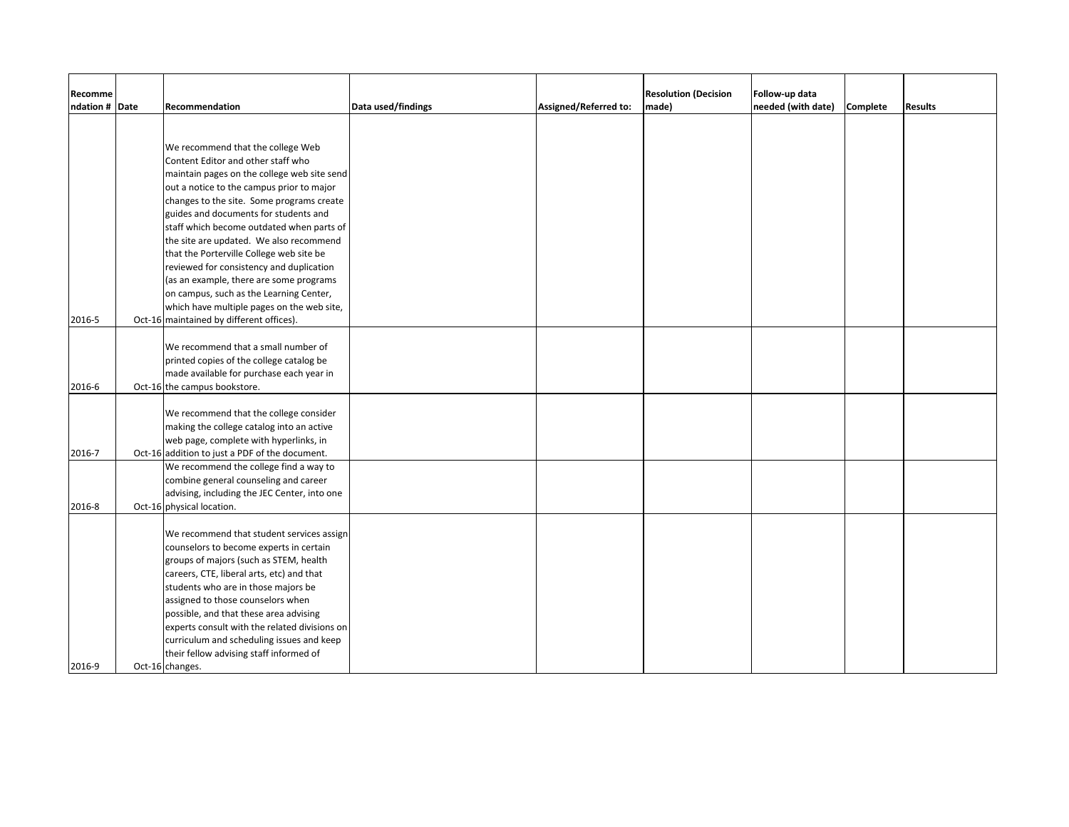| Recomme        |                                                |                    |                       | <b>Resolution (Decision</b> | Follow-up data     |          |                |
|----------------|------------------------------------------------|--------------------|-----------------------|-----------------------------|--------------------|----------|----------------|
| ndation # Date | Recommendation                                 | Data used/findings | Assigned/Referred to: | made)                       | needed (with date) | Complete | <b>Results</b> |
|                |                                                |                    |                       |                             |                    |          |                |
|                |                                                |                    |                       |                             |                    |          |                |
|                | We recommend that the college Web              |                    |                       |                             |                    |          |                |
|                | Content Editor and other staff who             |                    |                       |                             |                    |          |                |
|                | maintain pages on the college web site send    |                    |                       |                             |                    |          |                |
|                | out a notice to the campus prior to major      |                    |                       |                             |                    |          |                |
|                | changes to the site. Some programs create      |                    |                       |                             |                    |          |                |
|                | guides and documents for students and          |                    |                       |                             |                    |          |                |
|                | staff which become outdated when parts of      |                    |                       |                             |                    |          |                |
|                | the site are updated. We also recommend        |                    |                       |                             |                    |          |                |
|                | that the Porterville College web site be       |                    |                       |                             |                    |          |                |
|                | reviewed for consistency and duplication       |                    |                       |                             |                    |          |                |
|                | (as an example, there are some programs        |                    |                       |                             |                    |          |                |
|                | on campus, such as the Learning Center,        |                    |                       |                             |                    |          |                |
|                | which have multiple pages on the web site,     |                    |                       |                             |                    |          |                |
| 2016-5         | Oct-16 maintained by different offices).       |                    |                       |                             |                    |          |                |
|                |                                                |                    |                       |                             |                    |          |                |
|                | We recommend that a small number of            |                    |                       |                             |                    |          |                |
|                | printed copies of the college catalog be       |                    |                       |                             |                    |          |                |
|                | made available for purchase each year in       |                    |                       |                             |                    |          |                |
| 2016-6         | Oct-16 the campus bookstore.                   |                    |                       |                             |                    |          |                |
|                |                                                |                    |                       |                             |                    |          |                |
|                | We recommend that the college consider         |                    |                       |                             |                    |          |                |
|                | making the college catalog into an active      |                    |                       |                             |                    |          |                |
|                | web page, complete with hyperlinks, in         |                    |                       |                             |                    |          |                |
| 2016-7         | Oct-16 addition to just a PDF of the document. |                    |                       |                             |                    |          |                |
|                | We recommend the college find a way to         |                    |                       |                             |                    |          |                |
|                | combine general counseling and career          |                    |                       |                             |                    |          |                |
|                | advising, including the JEC Center, into one   |                    |                       |                             |                    |          |                |
| 2016-8         | Oct-16 physical location.                      |                    |                       |                             |                    |          |                |
|                | We recommend that student services assign      |                    |                       |                             |                    |          |                |
|                | counselors to become experts in certain        |                    |                       |                             |                    |          |                |
|                | groups of majors (such as STEM, health         |                    |                       |                             |                    |          |                |
|                | careers, CTE, liberal arts, etc) and that      |                    |                       |                             |                    |          |                |
|                | students who are in those majors be            |                    |                       |                             |                    |          |                |
|                | assigned to those counselors when              |                    |                       |                             |                    |          |                |
|                | possible, and that these area advising         |                    |                       |                             |                    |          |                |
|                | experts consult with the related divisions on  |                    |                       |                             |                    |          |                |
|                | curriculum and scheduling issues and keep      |                    |                       |                             |                    |          |                |
|                | their fellow advising staff informed of        |                    |                       |                             |                    |          |                |
| 2016-9         | Oct-16 changes.                                |                    |                       |                             |                    |          |                |